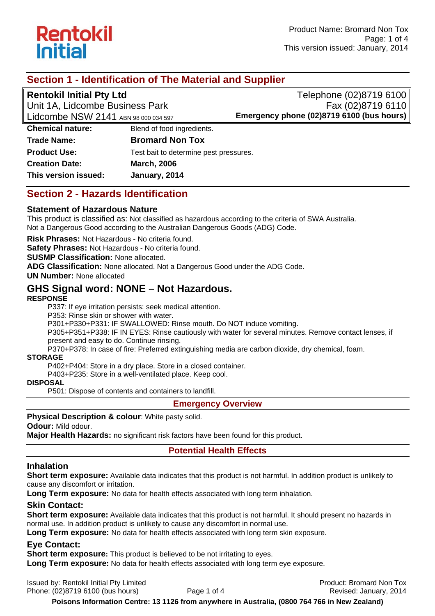

# **Section 1 - Identification of The Material and Supplier**

**Rentokil Initial Pty Ltd** 

Unit 1A, Lidcombe Business Park Lidcombe NSW 2141 ABN 98 000 034 597

Telephone (02)8719 6100 Fax (02)8719 6110 **Emergency phone (02)8719 6100 (bus hours)**

**Chemical nature:** Blend of food ingredients. **Trade Name: Bromard Non Tox Product Use:** Test bait to determine pest pressures. **Creation Date: March, 2006 This version issued: January, 2014** 

## **Section 2 - Hazards Identification**

### **Statement of Hazardous Nature**

This product is classified as: Not classified as hazardous according to the criteria of SWA Australia. Not a Dangerous Good according to the Australian Dangerous Goods (ADG) Code.

**Risk Phrases:** Not Hazardous - No criteria found.

**Safety Phrases:** Not Hazardous - No criteria found.

**SUSMP Classification:** None allocated.

**ADG Classification:** None allocated. Not a Dangerous Good under the ADG Code.

**UN Number:** None allocated

# **GHS Signal word: NONE – Not Hazardous.**

#### **RESPONSE**

P337: If eye irritation persists: seek medical attention.

P353: Rinse skin or shower with water.

P301+P330+P331: IF SWALLOWED: Rinse mouth. Do NOT induce vomiting.

P305+P351+P338: IF IN EYES: Rinse cautiously with water for several minutes. Remove contact lenses, if present and easy to do. Continue rinsing.

P370+P378: In case of fire: Preferred extinguishing media are carbon dioxide, dry chemical, foam.

#### **STORAGE**

P402+P404: Store in a dry place. Store in a closed container.

P403+P235: Store in a well-ventilated place. Keep cool.

**DISPOSAL** 

P501: Dispose of contents and containers to landfill.

#### **Emergency Overview**

**Physical Description & colour**: White pasty solid.

**Odour:** Mild odour.

**Major Health Hazards:** no significant risk factors have been found for this product.

### **Potential Health Effects**

### **Inhalation**

**Short term exposure:** Available data indicates that this product is not harmful. In addition product is unlikely to cause any discomfort or irritation.

**Long Term exposure:** No data for health effects associated with long term inhalation.

### **Skin Contact:**

**Short term exposure:** Available data indicates that this product is not harmful. It should present no hazards in normal use. In addition product is unlikely to cause any discomfort in normal use.

**Long Term exposure:** No data for health effects associated with long term skin exposure.

### **Eye Contact:**

**Short term exposure:** This product is believed to be not irritating to eyes.

**Long Term exposure:** No data for health effects associated with long term eye exposure.

Issued by: Rentokil Initial Pty Limited **Product: Bromard Non Tox Product: Bromard Non Tox** Phone: (02)8719 6100 (bus hours) Page 1 of 4 Revised: January, 2014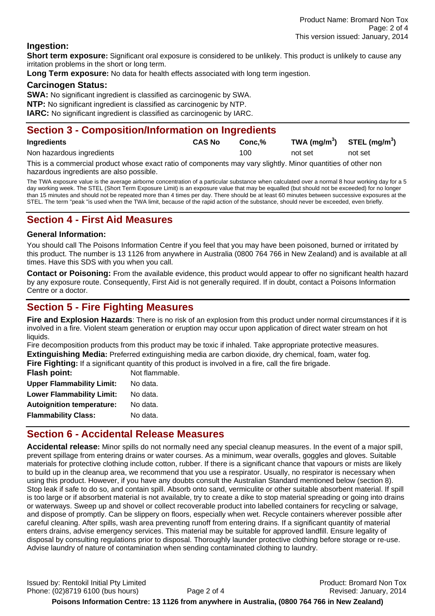#### **Ingestion:**

**Short term exposure:** Significant oral exposure is considered to be unlikely. This product is unlikely to cause any irritation problems in the short or long term.

**Long Term exposure:** No data for health effects associated with long term ingestion.

#### **Carcinogen Status:**

**SWA:** No significant ingredient is classified as carcinogenic by SWA.

**NTP:** No significant ingredient is classified as carcinogenic by NTP.

**IARC:** No significant ingredient is classified as carcinogenic by IARC.

### **Section 3 - Composition/Information on Ingredients**

| <b>Ingredients</b>        | <b>CAS No</b> | Conc.% | TWA $(mg/m^3)$ STEL $(mg/m^3)$ |         |
|---------------------------|---------------|--------|--------------------------------|---------|
| Non hazardous ingredients |               | 100    | not set                        | not set |

This is a commercial product whose exact ratio of components may vary slightly. Minor quantities of other non hazardous ingredients are also possible.

The TWA exposure value is the average airborne concentration of a particular substance when calculated over a normal 8 hour working day for a 5 day working week. The STEL (Short Term Exposure Limit) is an exposure value that may be equalled (but should not be exceeded) for no longer than 15 minutes and should not be repeated more than 4 times per day. There should be at least 60 minutes between successive exposures at the STEL. The term "peak "is used when the TWA limit, because of the rapid action of the substance, should never be exceeded, even briefly.

### **Section 4 - First Aid Measures**

#### **General Information:**

You should call The Poisons Information Centre if you feel that you may have been poisoned, burned or irritated by this product. The number is 13 1126 from anywhere in Australia (0800 764 766 in New Zealand) and is available at all times. Have this SDS with you when you call.

**Contact or Poisoning:** From the available evidence, this product would appear to offer no significant health hazard by any exposure route. Consequently, First Aid is not generally required. If in doubt, contact a Poisons Information Centre or a doctor.

# **Section 5 - Fire Fighting Measures**

**Fire and Explosion Hazards**: There is no risk of an explosion from this product under normal circumstances if it is involved in a fire. Violent steam generation or eruption may occur upon application of direct water stream on hot liquids.

Fire decomposition products from this product may be toxic if inhaled. Take appropriate protective measures. **Extinguishing Media:** Preferred extinguishing media are carbon dioxide, dry chemical, foam, water fog.

Fire Fighting: If a significant quantity of this product is involved in a fire, call the fire brigade.

| <b>Flash point:</b>              | Not flammable. |
|----------------------------------|----------------|
| <b>Upper Flammability Limit:</b> | No data.       |
| <b>Lower Flammability Limit:</b> | No data.       |
| <b>Autoignition temperature:</b> | No data.       |
| <b>Flammability Class:</b>       | No data.       |
|                                  |                |

## **Section 6 - Accidental Release Measures**

**Accidental release:** Minor spills do not normally need any special cleanup measures. In the event of a major spill, prevent spillage from entering drains or water courses. As a minimum, wear overalls, goggles and gloves. Suitable materials for protective clothing include cotton, rubber. If there is a significant chance that vapours or mists are likely to build up in the cleanup area, we recommend that you use a respirator. Usually, no respirator is necessary when using this product. However, if you have any doubts consult the Australian Standard mentioned below (section 8). Stop leak if safe to do so, and contain spill. Absorb onto sand, vermiculite or other suitable absorbent material. If spill is too large or if absorbent material is not available, try to create a dike to stop material spreading or going into drains or waterways. Sweep up and shovel or collect recoverable product into labelled containers for recycling or salvage, and dispose of promptly. Can be slippery on floors, especially when wet. Recycle containers wherever possible after careful cleaning. After spills, wash area preventing runoff from entering drains. If a significant quantity of material enters drains, advise emergency services. This material may be suitable for approved landfill. Ensure legality of disposal by consulting regulations prior to disposal. Thoroughly launder protective clothing before storage or re-use. Advise laundry of nature of contamination when sending contaminated clothing to laundry.

Issued by: Rentokil Initial Pty Limited Product: Bromard Non Tox Phone: (02)8719 6100 (bus hours) Page 2 of 4 Revised: January, 2014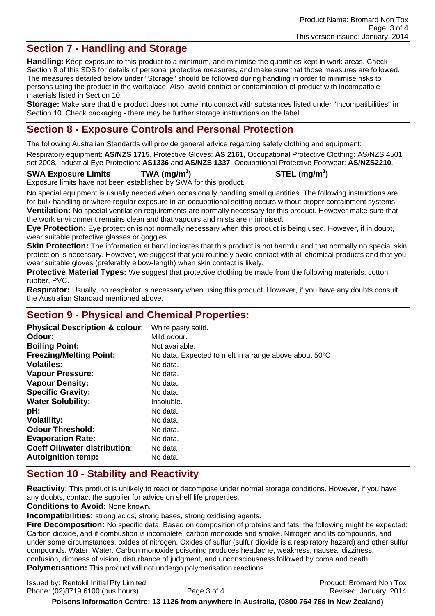# **Section 7 - Handling and Storage**

**Handling:** Keep exposure to this product to a minimum, and minimise the quantities kept in work areas. Check Section 8 of this SDS for details of personal protective measures, and make sure that those measures are followed. The measures detailed below under "Storage" should be followed during handling in order to minimise risks to persons using the product in the workplace. Also, avoid contact or contamination of product with incompatible materials listed in Section 10.

**Storage:** Make sure that the product does not come into contact with substances listed under "Incompatibilities" in Section 10. Check packaging - there may be further storage instructions on the label.

## **Section 8 - Exposure Controls and Personal Protection**

The following Australian Standards will provide general advice regarding safety clothing and equipment:

Respiratory equipment: **AS/NZS 1715**, Protective Gloves: **AS 2161**, Occupational Protective Clothing: AS/NZS 4501 set 2008, Industrial Eye Protection: **AS1336** and **AS/NZS 1337**, Occupational Protective Footwear: **AS/NZS2210**.

#### **SWA Exposure Limits TWA (mg/m<sup>3</sup>**

**) STEL (mg/m<sup>3</sup> )** 

Exposure limits have not been established by SWA for this product.

No special equipment is usually needed when occasionally handling small quantities. The following instructions are for bulk handling or where regular exposure in an occupational setting occurs without proper containment systems. **Ventilation:** No special ventilation requirements are normally necessary for this product. However make sure that the work environment remains clean and that vapours and mists are minimised.

**Eye Protection:** Eye protection is not normally necessary when this product is being used. However, if in doubt, wear suitable protective glasses or goggles.

**Skin Protection:** The information at hand indicates that this product is not harmful and that normally no special skin protection is necessary. However, we suggest that you routinely avoid contact with all chemical products and that you wear suitable gloves (preferably elbow-length) when skin contact is likely.

**Protective Material Types:** We suggest that protective clothing be made from the following materials: cotton, rubber, PVC.

**Respirator:** Usually, no respirator is necessary when using this product. However, if you have any doubts consult the Australian Standard mentioned above.

## **Section 9 - Physical and Chemical Properties:**

| <b>Physical Description &amp; colour:</b> | White pasty solid.                                    |
|-------------------------------------------|-------------------------------------------------------|
| Odour:                                    | Mild odour.                                           |
| <b>Boiling Point:</b>                     | Not available.                                        |
| <b>Freezing/Melting Point:</b>            | No data. Expected to melt in a range above about 50°C |
| <b>Volatiles:</b>                         | No data.                                              |
| <b>Vapour Pressure:</b>                   | No data.                                              |
| <b>Vapour Density:</b>                    | No data.                                              |
| <b>Specific Gravity:</b>                  | No data.                                              |
| <b>Water Solubility:</b>                  | Insoluble.                                            |
| pH:                                       | No data.                                              |
| <b>Volatility:</b>                        | No data.                                              |
| <b>Odour Threshold:</b>                   | No data.                                              |
| <b>Evaporation Rate:</b>                  | No data.                                              |
| <b>Coeff Oil/water distribution:</b>      | No data                                               |
| <b>Autoignition temp:</b>                 | No data.                                              |

# **Section 10 - Stability and Reactivity**

**Reactivity**: This product is unlikely to react or decompose under normal storage conditions. However, if you have any doubts, contact the supplier for advice on shelf life properties.

**Conditions to Avoid:** None known.

**Incompatibilities:** strong acids, strong bases, strong oxidising agents.

**Fire Decomposition:** No specific data. Based on composition of proteins and fats, the following might be expected: Carbon dioxide, and if combustion is incomplete, carbon monoxide and smoke. Nitrogen and its compounds, and under some circumstances, oxides of nitrogen. Oxides of sulfur (sulfur dioxide is a respiratory hazard) and other sulfur compounds. Water. Water. Carbon monoxide poisoning produces headache, weakness, nausea, dizziness, confusion, dimness of vision, disturbance of judgment, and unconsciousness followed by coma and death. **Polymerisation:** This product will not undergo polymerisation reactions.

Issued by: Rentokil Initial Pty Limited **Product: Bromard Non Tox Product: Bromard Non Tox** Phone: (02)8719 6100 (bus hours) Page 3 of 4 Revised: January, 2014